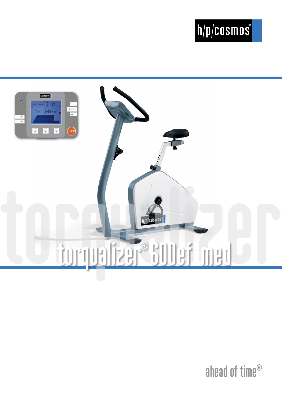# $\boxed{\hbar/\hbar/cosmos}$



ahead of time®